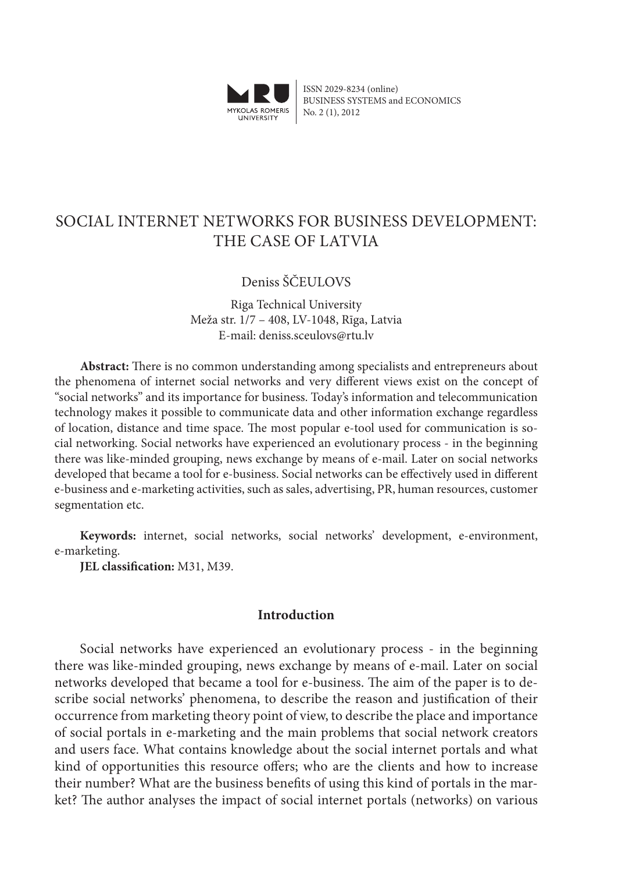

ISSN 2029-8234 (online) BUSINESS SYSTEMS and ECONOMICS No. 2 (1), 2012

# SOCIAL INTERNET NETWORKS FOR BUSINESS DEVELOPMENT: THE CASE OF LATVIA

# Deniss ŠČEULOVS

Riga Technical University Meža str. 1/7 – 408, LV-1048, Rīga, Latvia E-mail: deniss.sceulovs@rtu.lv

**Abstract:** There is no common understanding among specialists and entrepreneurs about the phenomena of internet social networks and very different views exist on the concept of "social networks" and its importance for business. Today's information and telecommunication technology makes it possible to communicate data and other information exchange regardless of location, distance and time space. The most popular e-tool used for communication is social networking. Social networks have experienced an evolutionary process - in the beginning there was like-minded grouping, news exchange by means of e-mail. Later on social networks developed that became a tool for e-business. Social networks can be effectively used in different e-business and e-marketing activities, such as sales, advertising, PR, human resources, customer segmentation etc.

**Keywords:** internet, social networks, social networks' development, e-environment, e-marketing.

**JEL classification:** M31, M39.

## **Introduction**

Social networks have experienced an evolutionary process - in the beginning there was like-minded grouping, news exchange by means of e-mail. Later on social networks developed that became a tool for e-business. The aim of the paper is to describe social networks' phenomena, to describe the reason and justification of their occurrence from marketing theory point of view, to describe the place and importance of social portals in e-marketing and the main problems that social network creators and users face. What contains knowledge about the social internet portals and what kind of opportunities this resource offers; who are the clients and how to increase their number? What are the business benefits of using this kind of portals in the market? The author analyses the impact of social internet portals (networks) on various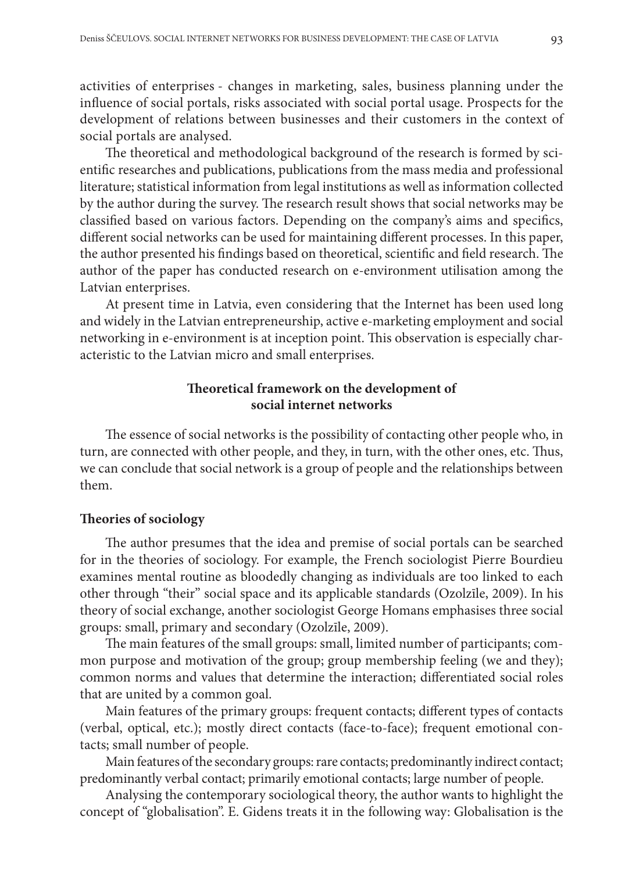activities of enterprises - changes in marketing, sales, business planning under the influence of social portals, risks associated with social portal usage. Prospects for the development of relations between businesses and their customers in the context of social portals are analysed.

The theoretical and methodological background of the research is formed by scientific researches and publications, publications from the mass media and professional literature; statistical information from legal institutions as well as information collected by the author during the survey. The research result shows that social networks may be classified based on various factors. Depending on the company's aims and specifics, different social networks can be used for maintaining different processes. In this paper, the author presented his findings based on theoretical, scientific and field research. The author of the paper has conducted research on e-environment utilisation among the Latvian enterprises.

At present time in Latvia, even considering that the Internet has been used long and widely in the Latvian entrepreneurship, active e-marketing employment and social networking in e-environment is at inception point. This observation is especially characteristic to the Latvian micro and small enterprises.

# **Theoretical framework on the development of social internet networks**

The essence of social networks is the possibility of contacting other people who, in turn, are connected with other people, and they, in turn, with the other ones, etc. Thus, we can conclude that social network is a group of people and the relationships between them.

## **Theories of sociology**

The author presumes that the idea and premise of social portals can be searched for in the theories of sociology. For example, the French sociologist Pierre Bourdieu examines mental routine as bloodedly changing as individuals are too linked to each other through "their" social space and its applicable standards (Ozolzīle, 2009). In his theory of social exchange, another sociologist George Homans emphasises three social groups: small, primary and secondary (Ozolzīle, 2009).

The main features of the small groups: small, limited number of participants; common purpose and motivation of the group; group membership feeling (we and they); common norms and values that determine the interaction; differentiated social roles that are united by a common goal.

Main features of the primary groups: frequent contacts; different types of contacts (verbal, optical, etc.); mostly direct contacts (face-to-face); frequent emotional contacts; small number of people.

Main features of the secondary groups: rare contacts; predominantly indirect contact; predominantly verbal contact; primarily emotional contacts; large number of people.

Analysing the contemporary sociological theory, the author wants to highlight the concept of "globalisation". E. Gidens treats it in the following way: Globalisation is the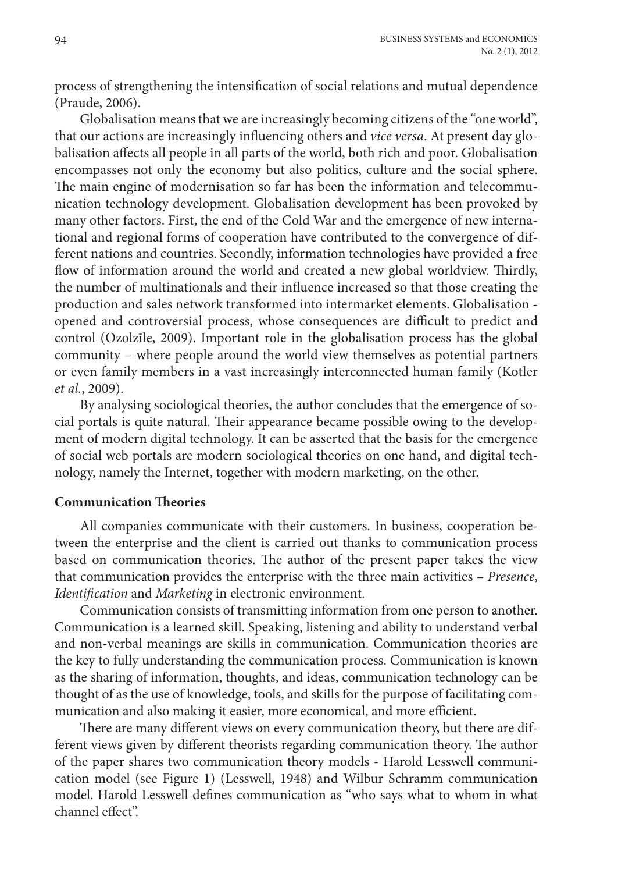process of strengthening the intensification of social relations and mutual dependence (Praude, 2006).

Globalisation means that we are increasingly becoming citizens of the "one world", that our actions are increasingly influencing others and *vice versa*. At present day globalisation affects all people in all parts of the world, both rich and poor. Globalisation encompasses not only the economy but also politics, culture and the social sphere. The main engine of modernisation so far has been the information and telecommunication technology development. Globalisation development has been provoked by many other factors. First, the end of the Cold War and the emergence of new international and regional forms of cooperation have contributed to the convergence of different nations and countries. Secondly, information technologies have provided a free flow of information around the world and created a new global worldview. Thirdly, the number of multinationals and their influence increased so that those creating the production and sales network transformed into intermarket elements. Globalisation opened and controversial process, whose consequences are difficult to predict and control (Ozolzīle, 2009). Important role in the globalisation process has the global community – where people around the world view themselves as potential partners or even family members in a vast increasingly interconnected human family (Kotler *et al.*, 2009).

By analysing sociological theories, the author concludes that the emergence of social portals is quite natural. Their appearance became possible owing to the development of modern digital technology. It can be asserted that the basis for the emergence of social web portals are modern sociological theories on one hand, and digital technology, namely the Internet, together with modern marketing, on the other.

# **Communication Theories**

All companies communicate with their customers. In business, cooperation between the enterprise and the client is carried out thanks to communication process based on communication theories. The author of the present paper takes the view that communication provides the enterprise with the three main activities – *Presence*, *Identification* and *Marketing* in electronic environment.

Communication consists of transmitting information from one person to another. Communication is a learned skill. Speaking, listening and ability to understand verbal and non-verbal meanings are skills in communication. Communication theories are the key to fully understanding the communication process. Communication is known as the sharing of information, thoughts, and ideas, communication technology can be thought of as the use of knowledge, tools, and skills for the purpose of facilitating communication and also making it easier, more economical, and more efficient.

There are many different views on every communication theory, but there are different views given by different theorists regarding communication theory. The author of the paper shares two communication theory models - Harold Lesswell communication model (see Figure 1) (Lesswell, 1948) and Wilbur Schramm communication model. Harold Lesswell defines communication as "who says what to whom in what channel effect".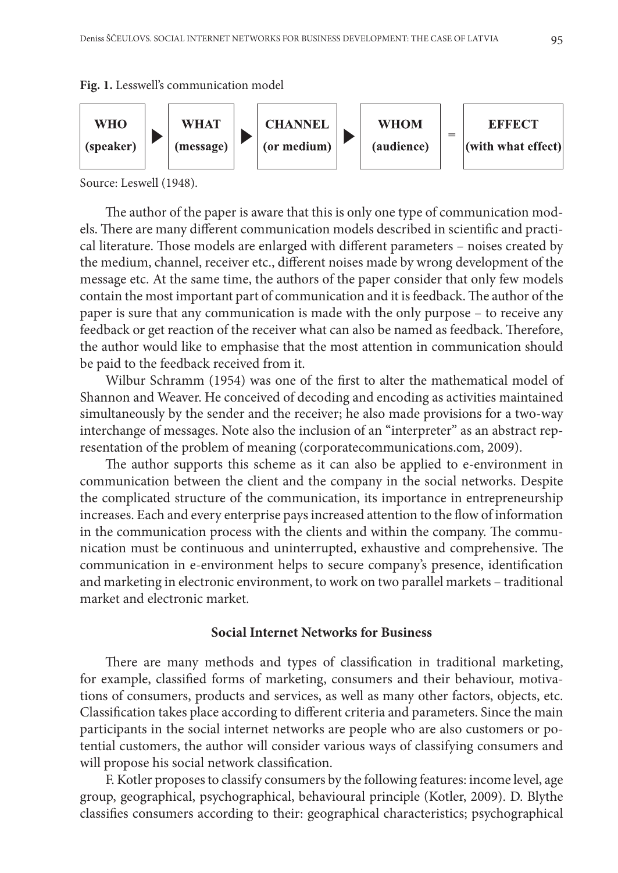



Source: Leswell (1948).

The author of the paper is aware that this is only one type of communication models. There are many different communication models described in scientific and practical literature. Those models are enlarged with different parameters – noises created by the medium, channel, receiver etc., different noises made by wrong development of the message etc. At the same time, the authors of the paper consider that only few models contain the most important part of communication and it is feedback. The author of the paper is sure that any communication is made with the only purpose – to receive any feedback or get reaction of the receiver what can also be named as feedback. Therefore, the author would like to emphasise that the most attention in communication should be paid to the feedback received from it.

Wilbur Schramm (1954) was one of the first to alter the mathematical model of Shannon and Weaver. He conceived of decoding and encoding as activities maintained simultaneously by the sender and the receiver; he also made provisions for a two-way interchange of messages. Note also the inclusion of an "interpreter" as an abstract representation of the problem of meaning (corporatecommunications.com, 2009).

The author supports this scheme as it can also be applied to e-environment in communication between the client and the company in the social networks. Despite the complicated structure of the communication, its importance in entrepreneurship increases. Each and every enterprise pays increased attention to the flow of information in the communication process with the clients and within the company. The communication must be continuous and uninterrupted, exhaustive and comprehensive. The communication in e-environment helps to secure company's presence, identification and marketing in electronic environment, to work on two parallel markets – traditional market and electronic market.

#### **Social Internet Networks for Business**

There are many methods and types of classification in traditional marketing, for example, classified forms of marketing, consumers and their behaviour, motivations of consumers, products and services, as well as many other factors, objects, etc. Classification takes place according to different criteria and parameters. Since the main participants in the social internet networks are people who are also customers or potential customers, the author will consider various ways of classifying consumers and will propose his social network classification.

F. Kotler proposes to classify consumers by the following features: income level, age group, geographical, psychographical, behavioural principle (Kotler, 2009). D. Blythe classifies consumers according to their: geographical characteristics; psychographical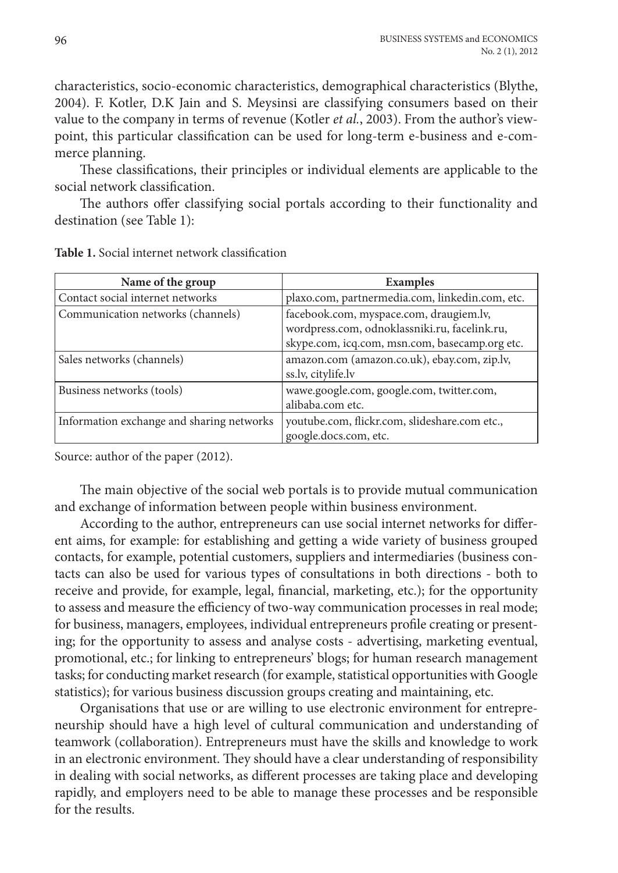characteristics, socio-economic characteristics, demographical characteristics (Blythe, 2004). F. Kotler, D.K Jain and S. Meysinsi are classifying consumers based on their value to the company in terms of revenue (Kotler *et al.*, 2003). From the author's viewpoint, this particular classification can be used for long-term e-business and e-commerce planning.

These classifications, their principles or individual elements are applicable to the social network classification.

The authors offer classifying social portals according to their functionality and destination (see Table 1):

| Name of the group                         | <b>Examples</b>                                                                                                                            |
|-------------------------------------------|--------------------------------------------------------------------------------------------------------------------------------------------|
| Contact social internet networks          | plaxo.com, partnermedia.com, linkedin.com, etc.                                                                                            |
| Communication networks (channels)         | facebook.com, myspace.com, draugiem.lv,<br>wordpress.com, odnoklassniki.ru, facelink.ru,<br>skype.com, icq.com, msn.com, basecamp.org etc. |
| Sales networks (channels)                 | amazon.com (amazon.co.uk), ebay.com, zip.lv,<br>ss.lv, citylife.lv                                                                         |
| Business networks (tools)                 | wawe.google.com, google.com, twitter.com,<br>alibaba.com etc.                                                                              |
| Information exchange and sharing networks | youtube.com, flickr.com, slideshare.com etc.,<br>google.docs.com, etc.                                                                     |

**Table 1.** Social internet network classification

Source: author of the paper (2012).

The main objective of the social web portals is to provide mutual communication and exchange of information between people within business environment.

According to the author, entrepreneurs can use social internet networks for different aims, for example: for establishing and getting a wide variety of business grouped contacts, for example, potential customers, suppliers and intermediaries (business contacts can also be used for various types of consultations in both directions - both to receive and provide, for example, legal, financial, marketing, etc.); for the opportunity to assess and measure the efficiency of two-way communication processes in real mode; for business, managers, employees, individual entrepreneurs profile creating or presenting; for the opportunity to assess and analyse costs - advertising, marketing eventual, promotional, etc.; for linking to entrepreneurs' blogs; for human research management tasks; for conducting market research (for example, statistical opportunities with Google statistics); for various business discussion groups creating and maintaining, etc.

Organisations that use or are willing to use electronic environment for entrepreneurship should have a high level of cultural communication and understanding of teamwork (collaboration). Entrepreneurs must have the skills and knowledge to work in an electronic environment. They should have a clear understanding of responsibility in dealing with social networks, as different processes are taking place and developing rapidly, and employers need to be able to manage these processes and be responsible for the results.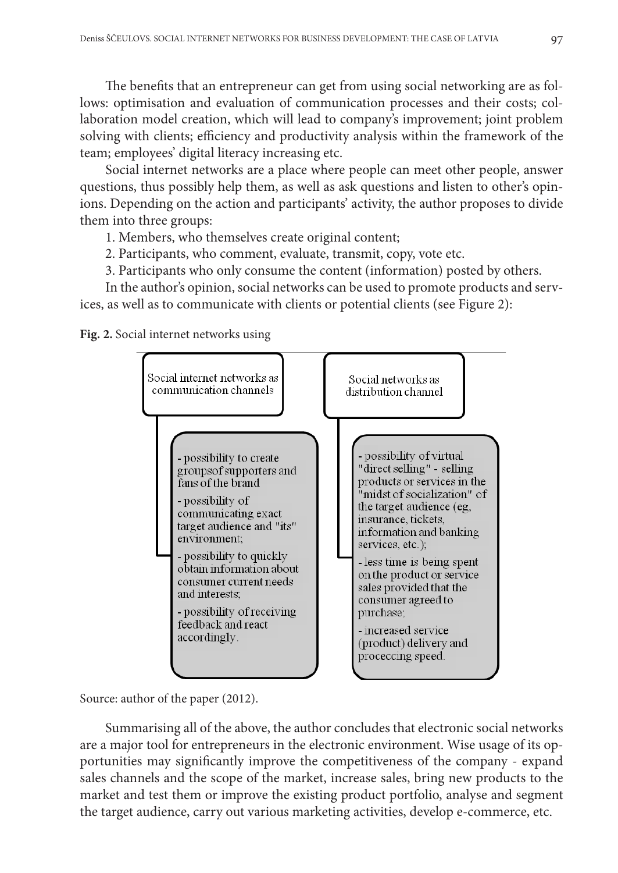The benefits that an entrepreneur can get from using social networking are as follows: optimisation and evaluation of communication processes and their costs; collaboration model creation, which will lead to company's improvement; joint problem solving with clients; efficiency and productivity analysis within the framework of the team; employees' digital literacy increasing etc.

Social internet networks are a place where people can meet other people, answer questions, thus possibly help them, as well as ask questions and listen to other's opinions. Depending on the action and participants' activity, the author proposes to divide them into three groups:

1. Members, who themselves create original content;

- 2. Participants, who comment, evaluate, transmit, copy, vote etc.
- 3. Participants who only consume the content (information) posted by others.

In the author's opinion, social networks can be used to promote products and services, as well as to communicate with clients or potential clients (see Figure 2):

**Fig. 2.** Social internet networks using



Source: author of the paper (2012).

Summarising all of the above, the author concludes that electronic social networks are a major tool for entrepreneurs in the electronic environment. Wise usage of its opportunities may significantly improve the competitiveness of the company - expand sales channels and the scope of the market, increase sales, bring new products to the market and test them or improve the existing product portfolio, analyse and segment the target audience, carry out various marketing activities, develop e-commerce, etc.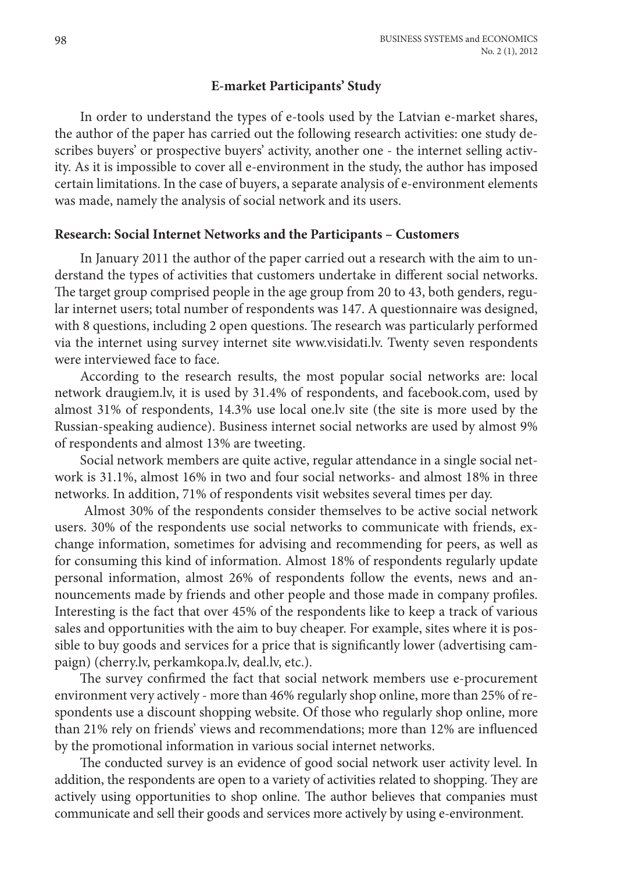# **E-market Participants' Study**

In order to understand the types of e-tools used by the Latvian e-market shares, the author of the paper has carried out the following research activities: one study describes buyers' or prospective buyers' activity, another one - the internet selling activity. As it is impossible to cover all e-environment in the study, the author has imposed certain limitations. In the case of buyers, a separate analysis of e-environment elements was made, namely the analysis of social network and its users.

## **Research: Social Internet Networks and the Participants – Customers**

In January 2011 the author of the paper carried out a research with the aim to understand the types of activities that customers undertake in different social networks. The target group comprised people in the age group from 20 to 43, both genders, regular internet users; total number of respondents was 147. A questionnaire was designed, with 8 questions, including 2 open questions. The research was particularly performed via the internet using survey internet site www.visidati.lv. Twenty seven respondents were interviewed face to face.

According to the research results, the most popular social networks are: local network draugiem.lv, it is used by 31.4% of respondents, and facebook.com, used by almost 31% of respondents, 14.3% use local one.lv site (the site is more used by the Russian-speaking audience). Business internet social networks are used by almost 9% of respondents and almost 13% are tweeting.

Social network members are quite active, regular attendance in a single social network is 31.1%, almost 16% in two and four social networks- and almost 18% in three networks. In addition, 71% of respondents visit websites several times per day.

Almost 30% of the respondents consider themselves to be active social network users. 30% of the respondents use social networks to communicate with friends, exchange information, sometimes for advising and recommending for peers, as well as for consuming this kind of information. Almost 18% of respondents regularly update personal information, almost 26% of respondents follow the events, news and announcements made by friends and other people and those made in company profiles. Interesting is the fact that over 45% of the respondents like to keep a track of various sales and opportunities with the aim to buy cheaper. For example, sites where it is possible to buy goods and services for a price that is significantly lower (advertising campaign) (cherry.lv, perkamkopa.lv, deal.lv, etc.).

The survey confirmed the fact that social network members use e-procurement environment very actively - more than 46% regularly shop online, more than 25% of respondents use a discount shopping website. Of those who regularly shop online, more than 21% rely on friends' views and recommendations; more than 12% are influenced by the promotional information in various social internet networks.

The conducted survey is an evidence of good social network user activity level. In addition, the respondents are open to a variety of activities related to shopping. They are actively using opportunities to shop online. The author believes that companies must communicate and sell their goods and services more actively by using e-environment.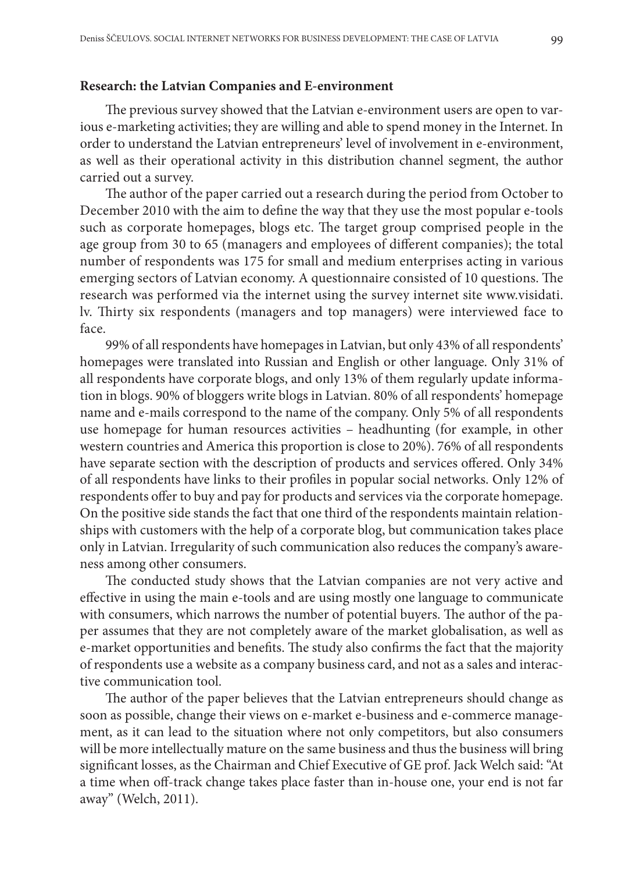#### **Research: the Latvian Companies and E-environment**

The previous survey showed that the Latvian e-environment users are open to various e-marketing activities; they are willing and able to spend money in the Internet. In order to understand the Latvian entrepreneurs' level of involvement in e-environment, as well as their operational activity in this distribution channel segment, the author carried out a survey.

The author of the paper carried out a research during the period from October to December 2010 with the aim to define the way that they use the most popular e-tools such as corporate homepages, blogs etc. The target group comprised people in the age group from 30 to 65 (managers and employees of different companies); the total number of respondents was 175 for small and medium enterprises acting in various emerging sectors of Latvian economy. A questionnaire consisted of 10 questions. The research was performed via the internet using the survey internet site www.visidati. lv. Thirty six respondents (managers and top managers) were interviewed face to face.

99% of all respondents have homepages in Latvian, but only 43% of all respondents' homepages were translated into Russian and English or other language. Only 31% of all respondents have corporate blogs, and only 13% of them regularly update information in blogs. 90% of bloggers write blogs in Latvian. 80% of all respondents' homepage name and e-mails correspond to the name of the company. Only 5% of all respondents use homepage for human resources activities – headhunting (for example, in other western countries and America this proportion is close to 20%). 76% of all respondents have separate section with the description of products and services offered. Only 34% of all respondents have links to their profiles in popular social networks. Only 12% of respondents offer to buy and pay for products and services via the corporate homepage. On the positive side stands the fact that one third of the respondents maintain relationships with customers with the help of a corporate blog, but communication takes place only in Latvian. Irregularity of such communication also reduces the company's awareness among other consumers.

The conducted study shows that the Latvian companies are not very active and effective in using the main e-tools and are using mostly one language to communicate with consumers, which narrows the number of potential buyers. The author of the paper assumes that they are not completely aware of the market globalisation, as well as e-market opportunities and benefits. The study also confirms the fact that the majority of respondents use a website as a company business card, and not as a sales and interactive communication tool.

The author of the paper believes that the Latvian entrepreneurs should change as soon as possible, change their views on e-market e-business and e-commerce management, as it can lead to the situation where not only competitors, but also consumers will be more intellectually mature on the same business and thus the business will bring significant losses, as the Chairman and Chief Executive of GE prof. Jack Welch said: "At a time when off-track change takes place faster than in-house one, your end is not far away" (Welch, 2011).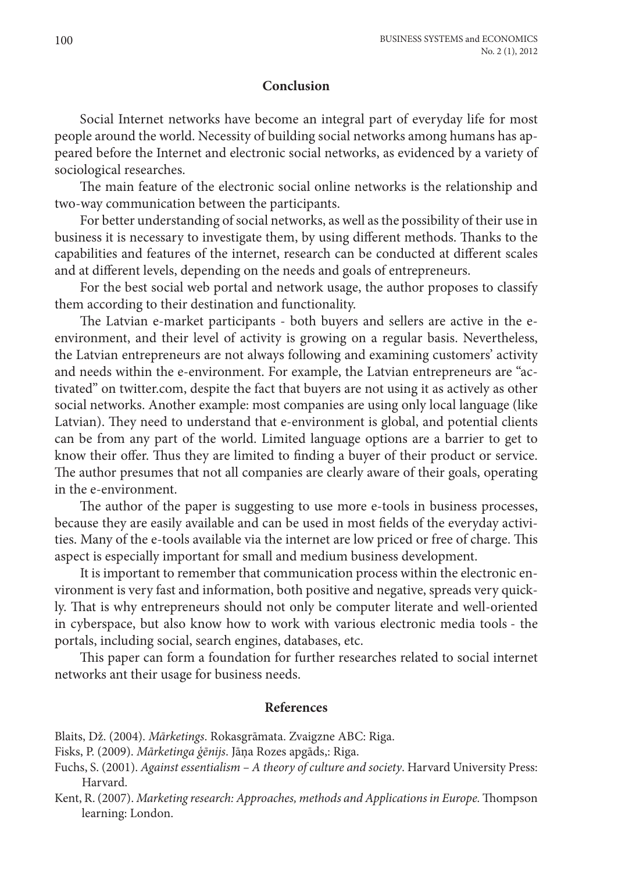## **Conclusion**

Social Internet networks have become an integral part of everyday life for most people around the world. Necessity of building social networks among humans has appeared before the Internet and electronic social networks, as evidenced by a variety of sociological researches.

The main feature of the electronic social online networks is the relationship and two-way communication between the participants.

For better understanding of social networks, as well as the possibility of their use in business it is necessary to investigate them, by using different methods. Thanks to the capabilities and features of the internet, research can be conducted at different scales and at different levels, depending on the needs and goals of entrepreneurs.

For the best social web portal and network usage, the author proposes to classify them according to their destination and functionality.

The Latvian e-market participants - both buyers and sellers are active in the eenvironment, and their level of activity is growing on a regular basis. Nevertheless, the Latvian entrepreneurs are not always following and examining customers' activity and needs within the e-environment. For example, the Latvian entrepreneurs are "activated" on twitter.com, despite the fact that buyers are not using it as actively as other social networks. Another example: most companies are using only local language (like Latvian). They need to understand that e-environment is global, and potential clients can be from any part of the world. Limited language options are a barrier to get to know their offer. Thus they are limited to finding a buyer of their product or service. The author presumes that not all companies are clearly aware of their goals, operating in the e-environment.

The author of the paper is suggesting to use more e-tools in business processes, because they are easily available and can be used in most fields of the everyday activities. Many of the e-tools available via the internet are low priced or free of charge. This aspect is especially important for small and medium business development.

It is important to remember that communication process within the electronic environment is very fast and information, both positive and negative, spreads very quickly. That is why entrepreneurs should not only be computer literate and well-oriented in cyberspace, but also know how to work with various electronic media tools - the portals, including social, search engines, databases, etc.

This paper can form a foundation for further researches related to social internet networks ant their usage for business needs.

# **References**

Blaits, Dž. (2004). *Mārketings*. Rokasgrāmata. Zvaigzne ABC: Riga.

Fisks, P. (2009). *Mārketinga ģēnijs*. Jāņa Rozes apgāds,: Riga.

- Fuchs, S. (2001). *Against essentialism A theory of culture and society*. Harvard University Press: Harvard.
- Kent, R. (2007). *Marketing research: Approaches, methods and Applications in Europe.* Thompson learning: London.